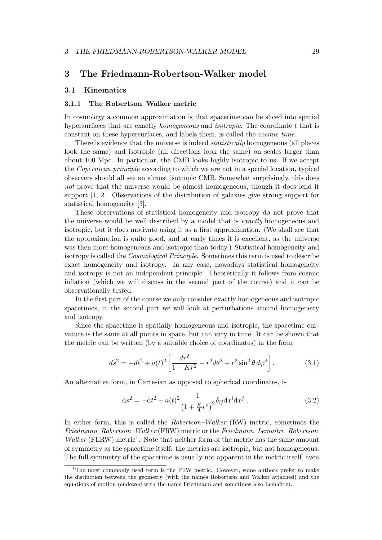# 3 The Friedmann-Robertson-Walker model

## 3.1 Kinematics

### 3.1.1 The Robertson–Walker metric

In cosmology a common approximation is that spacetime can be sliced into spatial hypersurfaces that are exactly *homogeneous* and *isotropic*. The coordinate t that is constant on these hypersurfaces, and labels them, is called the *cosmic time*.

There is evidence that the universe is indeed *statistically* homogeneous (all places look the same) and isotropic (all directions look the same) on scales larger than about 100 Mpc. In particular, the CMB looks highly isotropic to us. If we accept the *Copernican principle* according to which we are not in a special location, typical observers should all see an almost isotropic CMB. Somewhat surprisingly, this does *not* prove that the universe would be almost homogeneous, though it does lend it support [1, 2]. Observations of the distribution of galaxies give strong support for statistical homogeneity [3].

These observations of statistical homogeneity and isotropy do not prove that the universe would be well described by a model that is *exactly* homogeneous and isotropic, but it does motivate using it as a first approximation. (We shall see that the approximation is quite good, and at early times it is excellent, as the universe was then more homogeneous and isotropic than today.) Statistical homogeneity and isotropy is called the *Cosmological Principle*. Sometimes this term is used to describe exact homogeneity and isotropy. In any case, nowadays statistical homogeneity and isotropy is not an independent principle. Theoretically it follows from cosmic inflation (which we will discuss in the second part of the course) and it can be observationally tested.

In the first part of the course we only consider exactly homogeneous and isotropic spacetimes, in the second part we will look at perturbations around homogeneity and isotropy.

Since the spacetime is spatially homogeneous and isotropic, the spacetime curvature is the same at all points in space, but can vary in time. It can be shown that the metric can be written (by a suitable choice of coordinates) in the form

$$
ds^{2} = -dt^{2} + a(t)^{2} \left[ \frac{dr^{2}}{1 - Kr^{2}} + r^{2} d\theta^{2} + r^{2} \sin^{2} \theta d\varphi^{2} \right].
$$
 (3.1)

An alternative form, in Cartesian as opposed to spherical coordinates, is

$$
ds^{2} = -dt^{2} + a(t)^{2} \frac{1}{\left(1 + \frac{K}{4}r^{2}\right)^{2}} \delta_{ij} dx^{i} dx^{j} . \qquad (3.2)
$$

In either form, this is called the *Robertson–Walker* (RW) metric, sometimes the *Friedmann–Robertson–Walker* (FRW) metric or the *Friedmann–Lemaˆıtre–Robertson– Walker* (FLRW) metric<sup>1</sup>. Note that neither form of the metric has the same amount of symmetry as the spacetime itself: the metrics are isotropic, but not homogeneous. The full symmetry of the spacetime is usually not apparent in the metric itself, even

<sup>&</sup>lt;sup>1</sup>The most commonly used term is the FRW metric. However, some authors prefer to make the distinction between the geometry (with the names Robertson and Walker attached) and the equations of motion (endowed with the name Friedmann and sometimes also Lemaître).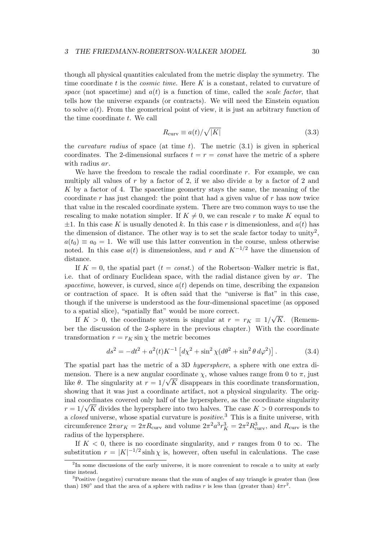though all physical quantities calculated from the metric display the symmetry. The time coordinate t is the *cosmic time*. Here K is a constant, related to curvature of *space* (not spacetime) and  $a(t)$  is a function of time, called the *scale factor*, that tells how the universe expands (or contracts). We will need the Einstein equation to solve  $a(t)$ . From the geometrical point of view, it is just an arbitrary function of the time coordinate t. We call

$$
R_{\text{curv}} \equiv a(t) / \sqrt{|K|} \tag{3.3}
$$

the *curvature radius* of space (at time  $t$ ). The metric  $(3.1)$  is given in spherical coordinates. The 2-dimensional surfaces  $t = r = const$  have the metric of a sphere with radius *ar*.

We have the freedom to rescale the radial coordinate r. For example, we can multiply all values of  $r$  by a factor of 2, if we also divide  $a$  by a factor of 2 and K by a factor of 4. The spacetime geometry stays the same, the meaning of the coordinate r has just changed: the point that had a given value of r has now twice that value in the rescaled coordinate system. There are two common ways to use the rescaling to make notation simpler. If  $K \neq 0$ , we can rescale r to make K equal to  $\pm 1$ . In this case K is usually denoted k. In this case r is dimensionless, and  $a(t)$  has the dimension of distance. The other way is to set the scale factor today to unity<sup>2</sup>,  $a(t_0) \equiv a_0 = 1$ . We will use this latter convention in the course, unless otherwise noted. In this case  $a(t)$  is dimensionless, and r and  $K^{-1/2}$  have the dimension of distance.

If  $K = 0$ , the spatial part  $(t = const.)$  of the Robertson–Walker metric is flat, i.e. that of ordinary Euclidean space, with the radial distance given by ar. The spacetime, however, is curved, since  $a(t)$  depends on time, describing the expansion or contraction of space. It is often said that the "universe is flat" in this case, though if the universe is understood as the four-dimensional spacetime (as opposed to a spatial slice), "spatially flat" would be more correct.

If  $K > 0$ , the coordinate system is singular at  $r = r_K \equiv 1/\sqrt{K}$ . (Remember the discussion of the 2-sphere in the previous chapter.) With the coordinate transformation  $r = r_K \sin \chi$  the metric becomes

$$
ds^{2} = -dt^{2} + a^{2}(t)K^{-1} \left[ d\chi^{2} + \sin^{2}\chi (d\theta^{2} + \sin^{2}\theta \, d\varphi^{2}) \right].
$$
 (3.4)

The spatial part has the metric of a 3D *hypersphere*, a sphere with one extra dimension. There is a new angular coordinate  $\chi$ , whose values range from 0 to  $\pi$ , just like  $\theta$ . The singularity at  $r = 1/\sqrt{K}$  disappears in this coordinate transformation, showing that it was just a coordinate artifact, not a physical singularity. The original coordinates covered only half of the hypersphere, as the coordinate singularity  $r = 1/\sqrt{K}$  divides the hypersphere into two halves. The case  $K > 0$  corresponds to a *closed* universe, whose spatial curvature is *positive*. <sup>3</sup> This is a finite universe, with circumference  $2\pi a r_K = 2\pi R_{\text{curv}}$  and volume  $2\pi^2 a^3 r_K^3 = 2\pi^2 R_{\text{curv}}^3$ , and  $R_{\text{curv}}$  is the radius of the hypersphere.

If  $K < 0$ , there is no coordinate singularity, and r ranges from 0 to  $\infty$ . The substitution  $r = |K|^{-1/2} \sinh \chi$  is, however, often useful in calculations. The case

 $2<sup>2</sup>$ In some discussions of the early universe, it is more convenient to rescale  $a$  to unity at early time instead.

<sup>&</sup>lt;sup>3</sup>Positive (negative) curvature means that the sum of angles of any triangle is greater than (less than) 180° and that the area of a sphere with radius r is less than (greater than)  $4\pi r^2$ .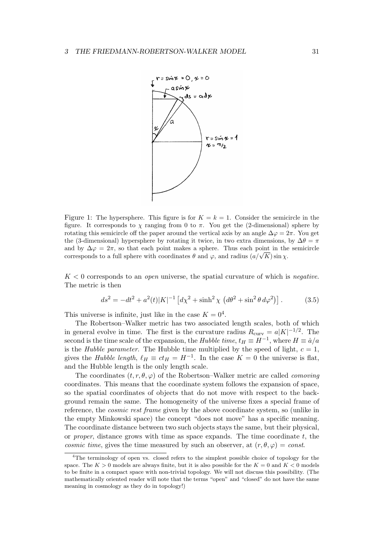

Figure 1: The hypersphere. This figure is for  $K = k = 1$ . Consider the semicircle in the figure. It corresponds to  $\chi$  ranging from 0 to  $\pi$ . You get the (2-dimensional) sphere by rotating this semicircle off the paper around the vertical axis by an angle  $\Delta\varphi = 2\pi$ . You get the (3-dimensional) hypersphere by rotating it twice, in two extra dimensions, by  $\Delta\theta = \pi$ and by  $\Delta \varphi = 2\pi$ , so that each point makes a sphere. Thus each point in the semicircle corresponds to a full sphere with coordinates  $\theta$  and  $\varphi$ , and radius  $(a/\sqrt{K}) \sin \chi$ .

K < 0 corresponds to an *open* universe, the spatial curvature of which is *negative*. The metric is then

$$
ds^{2} = -dt^{2} + a^{2}(t)|K|^{-1} \left[ d\chi^{2} + \sinh^{2}\chi \left( d\theta^{2} + \sin^{2}\theta \, d\varphi^{2} \right) \right]. \tag{3.5}
$$

This universe is infinite, just like in the case  $K = 0<sup>4</sup>$ .

The Robertson–Walker metric has two associated length scales, both of which in general evolve in time. The first is the curvature radius  $R_{\text{curv}} = a|K|^{-1/2}$ . The second is the time scale of the expansion, the *Hubble time*,  $t_H \equiv H^{-1}$ , where  $H \equiv \dot{a}/a$ is the *Hubble parameter*. The Hubble time multiplied by the speed of light,  $c = 1$ , gives the *Hubble length*,  $\ell_H \equiv ct_H = H^{-1}$ . In the case  $K = 0$  the universe is flat, and the Hubble length is the only length scale.

The coordinates  $(t, r, \theta, \varphi)$  of the Robertson–Walker metric are called *comoving* coordinates. This means that the coordinate system follows the expansion of space, so the spatial coordinates of objects that do not move with respect to the background remain the same. The homogeneity of the universe fixes a special frame of reference, the *cosmic rest frame* given by the above coordinate system, so (unlike in the empty Minkowski space) the concept "does not move" has a specific meaning. The coordinate distance between two such objects stays the same, but their physical, or *proper*, distance grows with time as space expands. The time coordinate  $t$ , the *cosmic time*, gives the time measured by such an observer, at  $(r, \theta, \varphi) = const.$ 

<sup>&</sup>lt;sup>4</sup>The terminology of open vs. closed refers to the simplest possible choice of topology for the space. The  $K > 0$  models are always finite, but it is also possible for the  $K = 0$  and  $K < 0$  models to be finite in a compact space with non-trivial topology. We will not discuss this possibility. (The mathematically oriented reader will note that the terms "open" and "closed" do not have the same meaning in cosmology as they do in topology!)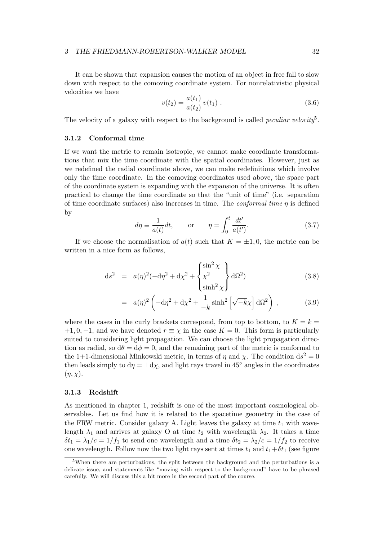It can be shown that expansion causes the motion of an object in free fall to slow down with respect to the comoving coordinate system. For nonrelativistic physical velocities we have

$$
v(t_2) = \frac{a(t_1)}{a(t_2)} v(t_1) . \tag{3.6}
$$

The velocity of a galaxy with respect to the background is called *peculiar velocity*<sup>5</sup> .

### 3.1.2 Conformal time

If we want the metric to remain isotropic, we cannot make coordinate transformations that mix the time coordinate with the spatial coordinates. However, just as we redefined the radial coordinate above, we can make redefinitions which involve only the time coordinate. In the comoving coordinates used above, the space part of the coordinate system is expanding with the expansion of the universe. It is often practical to change the time coordinate so that the "unit of time" (i.e. separation of time coordinate surfaces) also increases in time. The *conformal time* η is defined by

$$
d\eta \equiv \frac{1}{a(t)}dt, \qquad \text{or} \qquad \eta = \int_0^t \frac{dt'}{a(t')}.
$$
 (3.7)

If we choose the normalisation of  $a(t)$  such that  $K = \pm 1, 0$ , the metric can be written in a nice form as follows,

$$
ds^2 = a(\eta)^2(-d\eta^2 + d\chi^2 + \begin{Bmatrix} \sin^2 \chi \\ \chi^2 \\ \sinh^2 \chi \end{Bmatrix} d\Omega^2)
$$
 (3.8)

$$
= a(\eta)^2 \left(-\mathrm{d}\eta^2 + \mathrm{d}\chi^2 + \frac{1}{-k}\sinh^2\left[\sqrt{-k}\chi\right] \mathrm{d}\Omega^2\right) ,\qquad (3.9)
$$

where the cases in the curly brackets correspond, from top to bottom, to  $K = k =$ +1, 0, −1, and we have denoted  $r \equiv \chi$  in the case  $K = 0$ . This form is particularly suited to considering light propagation. We can choose the light propagation direction as radial, so  $d\theta = d\phi = 0$ , and the remaining part of the metric is conformal to the 1+1-dimensional Minkowski metric, in terms of  $\eta$  and  $\chi$ . The condition  $ds^2 = 0$ then leads simply to  $d\eta = \pm d\chi$ , and light rays travel in 45° angles in the coordinates  $(\eta, \chi)$ .

### 3.1.3 Redshift

As mentioned in chapter 1, redshift is one of the most important cosmological observables. Let us find how it is related to the spacetime geometry in the case of the FRW metric. Consider galaxy A. Light leaves the galaxy at time  $t_1$  with wavelength  $\lambda_1$  and arrives at galaxy O at time  $t_2$  with wavelength  $\lambda_2$ . It takes a time  $\delta t_1 = \lambda_1/c = 1/f_1$  to send one wavelength and a time  $\delta t_2 = \lambda_2/c = 1/f_2$  to receive one wavelength. Follow now the two light rays sent at times  $t_1$  and  $t_1+\delta t_1$  (see figure

<sup>5</sup>When there are perturbations, the split between the background and the perturbations is a delicate issue, and statements like "moving with respect to the background" have to be phrased carefully. We will discuss this a bit more in the second part of the course.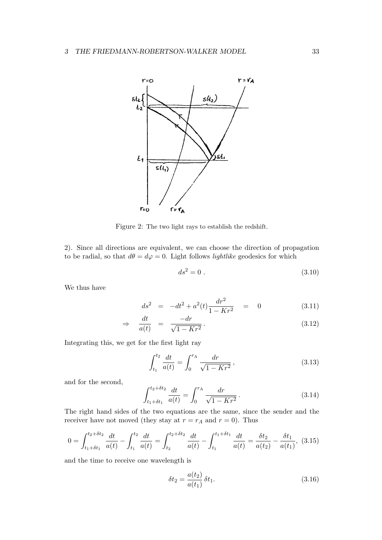

Figure 2: The two light rays to establish the redshift.

2). Since all directions are equivalent, we can choose the direction of propagation to be radial, so that  $d\theta = d\varphi = 0$ . Light follows *lightlike* geodesics for which

$$
ds^2 = 0 \tag{3.10}
$$

We thus have

$$
ds^{2} = -dt^{2} + a^{2}(t)\frac{dr^{2}}{1 - Kr^{2}} = 0
$$
\n(3.11)

$$
\Rightarrow \quad \frac{dt}{a(t)} = \frac{-dr}{\sqrt{1 - Kr^2}}.\tag{3.12}
$$

Integrating this, we get for the first light ray

$$
\int_{t_1}^{t_2} \frac{dt}{a(t)} = \int_0^{r_A} \frac{dr}{\sqrt{1 - Kr^2}},
$$
\n(3.13)

and for the second,

$$
\int_{t_1 + \delta t_1}^{t_2 + \delta t_2} \frac{dt}{a(t)} = \int_0^{r_A} \frac{dr}{\sqrt{1 - Kr^2}}.
$$
\n(3.14)

The right hand sides of the two equations are the same, since the sender and the receiver have not moved (they stay at  $r = r_A$  and  $r = 0$ ). Thus

$$
0 = \int_{t_1 + \delta t_1}^{t_2 + \delta t_2} \frac{dt}{a(t)} - \int_{t_1}^{t_2} \frac{dt}{a(t)} = \int_{t_2}^{t_2 + \delta t_2} \frac{dt}{a(t)} - \int_{t_1}^{t_1 + \delta t_1} \frac{dt}{a(t)} = \frac{\delta t_2}{a(t_2)} - \frac{\delta t_1}{a(t_1)},
$$
(3.15)

and the time to receive one wavelength is

$$
\delta t_2 = \frac{a(t_2)}{a(t_1)} \, \delta t_1. \tag{3.16}
$$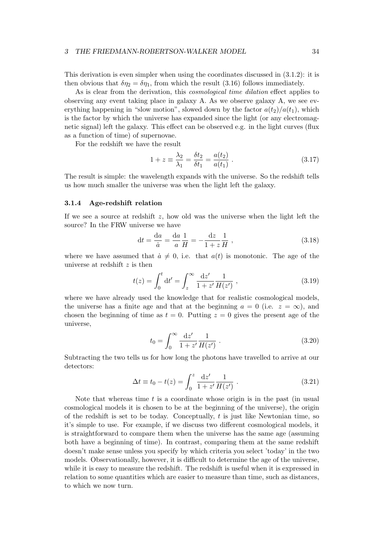#### 3 THE FRIEDMANN-ROBERTSON-WALKER MODEL 34

This derivation is even simpler when using the coordinates discussed in (3.1.2): it is then obvious that  $\delta \eta_2 = \delta \eta_1$ , from which the result (3.16) follows immediately.

As is clear from the derivation, this *cosmological time dilation* effect applies to observing any event taking place in galaxy A. As we observe galaxy A, we see everything happening in "slow motion", slowed down by the factor  $a(t_2)/a(t_1)$ , which is the factor by which the universe has expanded since the light (or any electromagnetic signal) left the galaxy. This effect can be observed e.g. in the light curves (flux as a function of time) of supernovae.

For the redshift we have the result

$$
1 + z \equiv \frac{\lambda_2}{\lambda_1} = \frac{\delta t_2}{\delta t_1} = \frac{a(t_2)}{a(t_1)} .
$$
 (3.17)

The result is simple: the wavelength expands with the universe. So the redshift tells us how much smaller the universe was when the light left the galaxy.

#### 3.1.4 Age-redshift relation

If we see a source at redshift  $z$ , how old was the universe when the light left the source? In the FRW universe we have

$$
dt = \frac{da}{\dot{a}} = \frac{da}{a}\frac{1}{H} = -\frac{dz}{1+z}\frac{1}{H} ,
$$
 (3.18)

where we have assumed that  $\dot{a} \neq 0$ , i.e. that  $a(t)$  is monotonic. The age of the universe at redshift  $z$  is then

$$
t(z) = \int_0^t dt' = \int_z^\infty \frac{dz'}{1+z'} \frac{1}{H(z')} ,
$$
\n(3.19)

where we have already used the knowledge that for realistic cosmological models, the universe has a finite age and that at the beginning  $a = 0$  (i.e.  $z = \infty$ ), and chosen the beginning of time as  $t = 0$ . Putting  $z = 0$  gives the present age of the universe,

$$
t_0 = \int_0^\infty \frac{\mathrm{d}z'}{1+z'} \frac{1}{H(z')} \ . \tag{3.20}
$$

Subtracting the two tells us for how long the photons have travelled to arrive at our detectors:

$$
\Delta t \equiv t_0 - t(z) = \int_0^z \frac{\mathrm{d}z'}{1 + z'} \frac{1}{H(z')} \ . \tag{3.21}
$$

Note that whereas time  $t$  is a coordinate whose origin is in the past (in usual cosmological models it is chosen to be at the beginning of the universe), the origin of the redshift is set to be today. Conceptually,  $t$  is just like Newtonian time, so it's simple to use. For example, if we discuss two different cosmological models, it is straightforward to compare them when the universe has the same age (assuming both have a beginning of time). In contrast, comparing them at the same redshift doesn't make sense unless you specify by which criteria you select 'today' in the two models. Observationally, however, it is difficult to determine the age of the universe, while it is easy to measure the redshift. The redshift is useful when it is expressed in relation to some quantities which are easier to measure than time, such as distances, to which we now turn.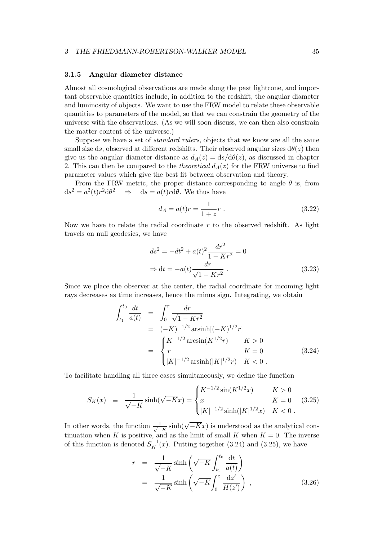#### 3.1.5 Angular diameter distance

Almost all cosmological observations are made along the past lightcone, and important observable quantities include, in addition to the redshift, the angular diameter and luminosity of objects. We want to use the FRW model to relate these observable quantities to parameters of the model, so that we can constrain the geometry of the universe with the observations. (As we will soon discuss, we can then also constrain the matter content of the universe.)

Suppose we have a set of *standard rulers*, objects that we know are all the same small size ds, observed at different redshifts. Their observed angular sizes  $d\theta(z)$  then give us the angular diameter distance as  $d_A(z) = ds/d\theta(z)$ , as discussed in chapter 2. This can then be compared to the *theoretical*  $d_A(z)$  for the FRW universe to find parameter values which give the best fit between observation and theory.

From the FRW metric, the proper distance corresponding to angle  $\theta$  is, from  $ds^2 = a^2(t)r^2 d\theta^2 \implies ds = a(t)r d\theta$ . We thus have

$$
d_A = a(t)r = \frac{1}{1+z}r \ . \tag{3.22}
$$

Now we have to relate the radial coordinate  $r$  to the observed redshift. As light travels on null geodesics, we have

$$
ds^{2} = -dt^{2} + a(t)^{2} \frac{dr^{2}}{1 - Kr^{2}} = 0
$$
  
\n
$$
\Rightarrow dt = -a(t) \frac{dr}{\sqrt{1 - Kr^{2}}}.
$$
\n(3.23)

Since we place the observer at the center, the radial coordinate for incoming light rays decreases as time increases, hence the minus sign. Integrating, we obtain

$$
\int_{t_1}^{t_0} \frac{dt}{a(t)} = \int_0^r \frac{dr}{\sqrt{1 - Kr^2}}
$$
\n
$$
= (-K)^{-1/2} \operatorname{arsinh}[(-K)^{1/2}r]
$$
\n
$$
= \begin{cases}\nK^{-1/2} \arcsin(K^{1/2}r) & K > 0 \\
r & K = 0 \\
|K|^{-1/2} \operatorname{arsinh}(|K|^{1/2}r) & K < 0\n\end{cases}
$$
\n(3.24)

To facilitate handling all three cases simultaneously, we define the function

$$
S_K(x) = \frac{1}{\sqrt{-K}} \sinh(\sqrt{-K}x) = \begin{cases} K^{-1/2} \sin(K^{1/2}x) & K > 0\\ x & K = 0\\ |K|^{-1/2} \sinh(|K|^{1/2}x) & K < 0 \end{cases}
$$
 (3.25)

In other words, the function  $\frac{1}{\sqrt{2}}$  $\frac{1}{-K}$  sinh( $\sqrt{-K}x$ ) is understood as the analytical continuation when K is positive, and as the limit of small K when  $K = 0$ . The inverse of this function is denoted  $S_K^{-1}(x)$ . Putting together (3.24) and (3.25), we have

$$
r = \frac{1}{\sqrt{-K}} \sinh\left(\sqrt{-K} \int_{t_1}^{t_0} \frac{dt}{a(t)}\right)
$$
  
= 
$$
\frac{1}{\sqrt{-K}} \sinh\left(\sqrt{-K} \int_0^z \frac{dz'}{H(z')}\right) ,
$$
 (3.26)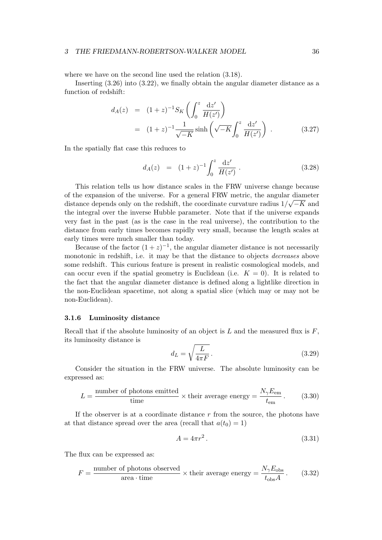#### 3 THE FRIEDMANN-ROBERTSON-WALKER MODEL 36

where we have on the second line used the relation (3.18).

Inserting (3.26) into (3.22), we finally obtain the angular diameter distance as a function of redshift:

$$
d_{A}(z) = (1+z)^{-1} S_{K} \left( \int_{0}^{z} \frac{dz'}{H(z')} \right)
$$
  
=  $(1+z)^{-1} \frac{1}{\sqrt{-K}} \sinh \left( \sqrt{-K} \int_{0}^{z} \frac{dz'}{H(z')} \right)$ . (3.27)

In the spatially flat case this reduces to

$$
d_A(z) = (1+z)^{-1} \int_0^z \frac{\mathrm{d}z'}{H(z')} \ . \tag{3.28}
$$

This relation tells us how distance scales in the FRW universe change because of the expansion of the universe. For a general FRW metric, the angular diameter distance depends only on the redshift, the coordinate curvature radius  $1/\sqrt{-K}$  and the integral over the inverse Hubble parameter. Note that if the universe expands very fast in the past (as is the case in the real universe), the contribution to the distance from early times becomes rapidly very small, because the length scales at early times were much smaller than today.

Because of the factor  $(1+z)^{-1}$ , the angular diameter distance is not necessarily monotonic in redshift, i.e. it may be that the distance to objects *decreases* above some redshift. This curious feature is present in realistic cosmological models, and can occur even if the spatial geometry is Euclidean (i.e.  $K = 0$ ). It is related to the fact that the angular diameter distance is defined along a lightlike direction in the non-Euclidean spacetime, not along a spatial slice (which may or may not be non-Euclidean).

#### 3.1.6 Luminosity distance

Recall that if the absolute luminosity of an object is  $L$  and the measured flux is  $F$ , its luminosity distance is

$$
d_L = \sqrt{\frac{L}{4\pi F}}.\t(3.29)
$$

Consider the situation in the FRW universe. The absolute luminosity can be expressed as:

$$
L = \frac{\text{number of photons emitted}}{\text{time}} \times \text{their average energy} = \frac{N_{\gamma} E_{\text{em}}}{t_{\text{em}}}.
$$
 (3.30)

If the observer is at a coordinate distance  $r$  from the source, the photons have at that distance spread over the area (recall that  $a(t_0) = 1$ )

$$
A = 4\pi r^2. \tag{3.31}
$$

The flux can be expressed as:

$$
F = \frac{\text{number of photons observed}}{\text{area} \cdot \text{time}} \times \text{their average energy} = \frac{N_{\gamma} E_{\text{obs}}}{t_{\text{obs}} A} \,. \tag{3.32}
$$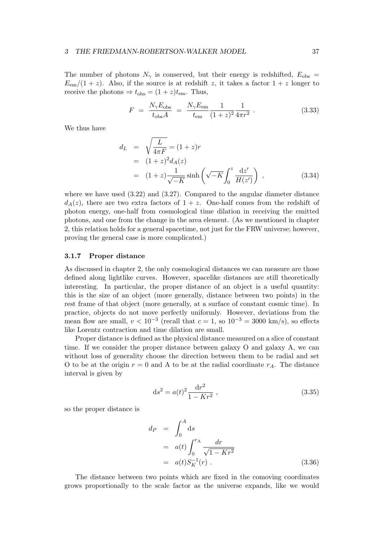The number of photons  $N_{\gamma}$  is conserved, but their energy is redshifted,  $E_{\rm obs}$  =  $E_{\rm em}/(1+z)$ . Also, if the source is at redshift z, it takes a factor  $1+z$  longer to receive the photons  $\Rightarrow$   $t_{\text{obs}} = (1 + z)t_{\text{em}}$ . Thus,

$$
F = \frac{N_{\gamma} E_{\rm obs}}{t_{\rm obs} A} = \frac{N_{\gamma} E_{\rm em}}{t_{\rm em}} \frac{1}{(1+z)^2} \frac{1}{4\pi r^2} .
$$
 (3.33)

We thus have

$$
d_{L} = \sqrt{\frac{L}{4\pi F}} = (1+z)r
$$
  
=  $(1+z)^{2}d_{A}(z)$   
=  $(1+z)\frac{1}{\sqrt{-K}}\sinh\left(\sqrt{-K}\int_{0}^{z}\frac{dz'}{H(z')}\right)$ , (3.34)

where we have used  $(3.22)$  and  $(3.27)$ . Compared to the angular diameter distance  $d_A(z)$ , there are two extra factors of  $1 + z$ . One-half comes from the redshift of photon energy, one-half from cosmological time dilation in receiving the emitted photons, and one from the change in the area element. (As we mentioned in chapter 2, this relation holds for a general spacetime, not just for the FRW universe; however, proving the general case is more complicated.)

### 3.1.7 Proper distance

As discussed in chapter 2, the only cosmological distances we can measure are those defined along lightlike curves. However, spacelike distances are still theoretically interesting. In particular, the proper distance of an object is a useful quantity: this is the size of an object (more generally, distance between two points) in the rest frame of that object (more generally, at a surface of constant cosmic time). In practice, objects do not move perfectly uniformly. However, deviations from the mean flow are small,  $v < 10^{-3}$  (recall that  $c = 1$ , so  $10^{-3} = 3000 \text{ km/s}$ ), so effects like Lorentz contraction and time dilation are small.

Proper distance is defined as the physical distance measured on a slice of constant time. If we consider the proper distance between galaxy O and galaxy A, we can without loss of generality choose the direction between them to be radial and set O to be at the origin  $r = 0$  and A to be at the radial coordinate  $r_A$ . The distance interval is given by

$$
ds^{2} = a(t)^{2} \frac{dr^{2}}{1 - Kr^{2}} , \qquad (3.35)
$$

so the proper distance is

$$
dP = \int_0^A ds
$$
  
=  $a(t) \int_0^{r_A} \frac{dr}{\sqrt{1 - Kr^2}}$   
=  $a(t)S_K^{-1}(r)$ . (3.36)

The distance between two points which are fixed in the comoving coordinates grows proportionally to the scale factor as the universe expands, like we would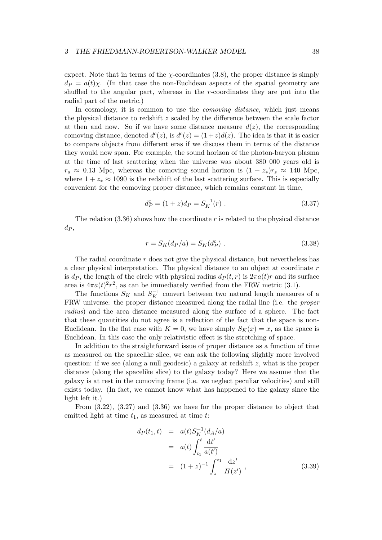expect. Note that in terms of the  $\chi$ -coordinates (3.8), the proper distance is simply  $d_P = a(t)\chi$ . (In that case the non-Euclidean aspects of the spatial geometry are shuffled to the angular part, whereas in the r-coordinates they are put into the radial part of the metric.)

In cosmology, it is common to use the *comoving distance*, which just means the physical distance to redshift z scaled by the difference between the scale factor at then and now. So if we have some distance measure  $d(z)$ , the corresponding comoving distance, denoted  $d^{c}(z)$ , is  $d^{c}(z) = (1+z)d(z)$ . The idea is that it is easier to compare objects from different eras if we discuss them in terms of the distance they would now span. For example, the sound horizon of the photon-baryon plasma at the time of last scattering when the universe was about 380 000 years old is  $r_s \approx 0.13$  Mpc, whereas the comoving sound horizon is  $(1 + z_*)r_s \approx 140$  Mpc, where  $1 + z_* \approx 1090$  is the redshift of the last scattering surface. This is especially convenient for the comoving proper distance, which remains constant in time,

$$
d_P^c = (1+z)d_P = S_K^{-1}(r) .
$$
\n(3.37)

The relation  $(3.36)$  shows how the coordinate r is related to the physical distance  $d_P$ 

$$
r = S_K(d_P/a) = S_K(d_P^c) \ . \tag{3.38}
$$

The radial coordinate  $r$  does not give the physical distance, but nevertheless has a clear physical interpretation. The physical distance to an object at coordinate r is  $d_P$ , the length of the circle with physical radius  $d_P (t, r)$  is  $2\pi a(t)r$  and its surface area is  $4\pi a(t)^2 r^2$ , as can be immediately verified from the FRW metric (3.1).

The functions  $S_K$  and  $S_K^{-1}$  convert between two natural length measures of a FRW universe: the proper distance measured along the radial line (i.e. the *proper radius*) and the area distance measured along the surface of a sphere. The fact that these quantities do not agree is a reflection of the fact that the space is non-Euclidean. In the flat case with  $K = 0$ , we have simply  $S_K(x) = x$ , as the space is Euclidean. In this case the only relativistic effect is the stretching of space.

In addition to the straightforward issue of proper distance as a function of time as measured on the spacelike slice, we can ask the following slightly more involved question: if we see (along a null geodesic) a galaxy at redshift z, what is the proper distance (along the spacelike slice) to the galaxy today? Here we assume that the galaxy is at rest in the comoving frame (i.e. we neglect peculiar velocities) and still exists today. (In fact, we cannot know what has happened to the galaxy since the light left it.)

From (3.22), (3.27) and (3.36) we have for the proper distance to object that emitted light at time  $t_1$ , as measured at time  $t$ :

$$
d_P(t_1, t) = a(t) S_K^{-1}(d_A/a)
$$
  
=  $a(t) \int_{t_1}^t \frac{dt'}{a(t')}$   
=  $(1+z)^{-1} \int_z^{z_1} \frac{dz'}{H(z')}$ , (3.39)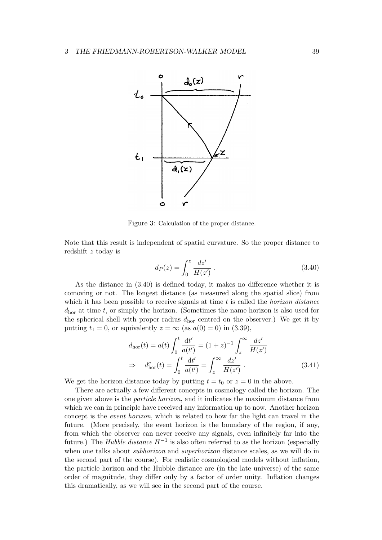

Figure 3: Calculation of the proper distance.

Note that this result is independent of spatial curvature. So the proper distance to redshift z today is

$$
d_P(z) = \int_0^z \frac{dz'}{H(z')} \; . \tag{3.40}
$$

As the distance in (3.40) is defined today, it makes no difference whether it is comoving or not. The longest distance (as measured along the spatial slice) from which it has been possible to receive signals at time t is called the *horizon distance*  $d_{\text{hor}}$  at time t, or simply the horizon. (Sometimes the name horizon is also used for the spherical shell with proper radius  $d_{\text{hor}}$  centred on the observer.) We get it by putting  $t_1 = 0$ , or equivalently  $z = \infty$  (as  $a(0) = 0$ ) in (3.39),

$$
d_{\text{hor}}(t) = a(t) \int_0^t \frac{\mathrm{d}t'}{a(t')} = (1+z)^{-1} \int_z^\infty \frac{\mathrm{d}z'}{H(z')}
$$
  
\n
$$
\Rightarrow d_{\text{hor}}^c(t) = \int_0^t \frac{\mathrm{d}t'}{a(t')} = \int_z^\infty \frac{\mathrm{d}z'}{H(z')} .
$$
 (3.41)

We get the horizon distance today by putting  $t = t_0$  or  $z = 0$  in the above.

There are actually a few different concepts in cosmology called the horizon. The one given above is the *particle horizon*, and it indicates the maximum distance from which we can in principle have received any information up to now. Another horizon concept is the *event horizon*, which is related to how far the light can travel in the future. (More precisely, the event horizon is the boundary of the region, if any, from which the observer can never receive any signals, even infinitely far into the future.) The *Hubble distance* H−<sup>1</sup> is also often referred to as the horizon (especially when one talks about *subhorizon* and *superhorizon* distance scales, as we will do in the second part of the course). For realistic cosmological models without inflation, the particle horizon and the Hubble distance are (in the late universe) of the same order of magnitude, they differ only by a factor of order unity. Inflation changes this dramatically, as we will see in the second part of the course.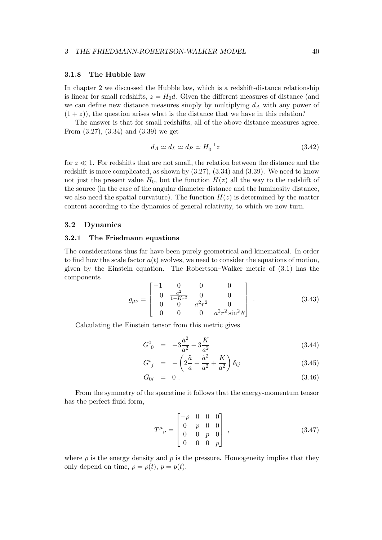### 3.1.8 The Hubble law

In chapter 2 we discussed the Hubble law, which is a redshift-distance relationship is linear for small redshifts,  $z = H_0 d$ . Given the different measures of distance (and we can define new distance measures simply by multiplying  $d_A$  with any power of  $(1 + z)$ , the question arises what is the distance that we have in this relation?

The answer is that for small redshifts, all of the above distance measures agree. From (3.27), (3.34) and (3.39) we get

$$
d_A \simeq d_L \simeq d_P \simeq H_0^{-1} z \tag{3.42}
$$

for  $z \ll 1$ . For redshifts that are not small, the relation between the distance and the redshift is more complicated, as shown by (3.27), (3.34) and (3.39). We need to know not just the present value  $H_0$ , but the function  $H(z)$  all the way to the redshift of the source (in the case of the angular diameter distance and the luminosity distance, we also need the spatial curvature). The function  $H(z)$  is determined by the matter content according to the dynamics of general relativity, to which we now turn.

### 3.2 Dynamics

### 3.2.1 The Friedmann equations

The considerations thus far have been purely geometrical and kinematical. In order to find how the scale factor  $a(t)$  evolves, we need to consider the equations of motion, given by the Einstein equation. The Robertson–Walker metric of (3.1) has the components

$$
g_{\mu\nu} = \begin{bmatrix} -1 & 0 & 0 & 0 \\ 0 & \frac{a^2}{1 - Kr^2} & 0 & 0 \\ 0 & 0 & a^2r^2 & 0 \\ 0 & 0 & 0 & a^2r^2\sin^2\theta \end{bmatrix} .
$$
 (3.43)

Calculating the Einstein tensor from this metric gives

$$
G^0_{\ 0} \ = \ -3\frac{\dot{a}^2}{a^2} - 3\frac{K}{a^2} \tag{3.44}
$$

$$
G^{i}_{\;j} \;\; = \;\; -\left(2\frac{\ddot{a}}{a} + \frac{\dot{a}^{2}}{a^{2}} + \frac{K}{a^{2}}\right)\delta_{ij} \tag{3.45}
$$

$$
G_{0i} = 0. \t\t(3.46)
$$

From the symmetry of the spacetime it follows that the energy-momentum tensor has the perfect fluid form,

$$
T^{\mu}{}_{\nu} = \begin{bmatrix} -\rho & 0 & 0 & 0 \\ 0 & p & 0 & 0 \\ 0 & 0 & p & 0 \\ 0 & 0 & 0 & p \end{bmatrix} , \qquad (3.47)
$$

where  $\rho$  is the energy density and  $p$  is the pressure. Homogeneity implies that they only depend on time,  $\rho = \rho(t)$ ,  $p = p(t)$ .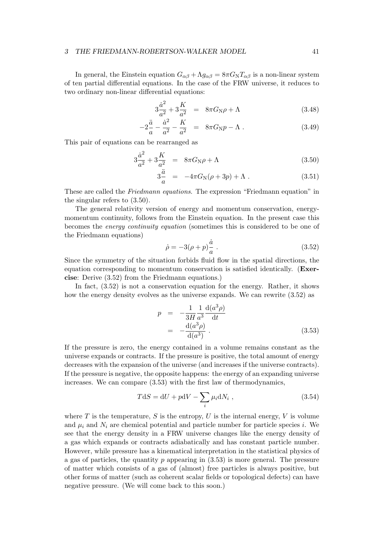#### 3 THE FRIEDMANN-ROBERTSON-WALKER MODEL 41

In general, the Einstein equation  $G_{\alpha\beta} + \Lambda g_{\alpha\beta} = 8\pi G_{\rm N} T_{\alpha\beta}$  is a non-linear system of ten partial differential equations. In the case of the FRW universe, it reduces to two ordinary non-linear differential equations:

$$
3\frac{\dot{a}^2}{a^2} + 3\frac{K}{a^2} = 8\pi G_N \rho + \Lambda \tag{3.48}
$$

$$
-2\frac{\ddot{a}}{a} - \frac{\dot{a}^2}{a^2} - \frac{K}{a^2} = 8\pi G_N p - \Lambda . \qquad (3.49)
$$

This pair of equations can be rearranged as

$$
3\frac{\dot{a}^2}{a^2} + 3\frac{K}{a^2} = 8\pi G_N \rho + \Lambda \tag{3.50}
$$

$$
3\frac{\ddot{a}}{a} = -4\pi G_{\rm N}(\rho + 3p) + \Lambda \tag{3.51}
$$

These are called the *Friedmann equations*. The expression "Friedmann equation" in the singular refers to (3.50).

The general relativity version of energy and momentum conservation, energymomentum continuity, follows from the Einstein equation. In the present case this becomes the *energy continuity equation* (sometimes this is considered to be one of the Friedmann equations)

$$
\dot{\rho} = -3(\rho + p)\frac{\dot{a}}{a} \tag{3.52}
$$

Since the symmetry of the situation forbids fluid flow in the spatial directions, the equation corresponding to momentum conservation is satisfied identically. (Exercise: Derive (3.52) from the Friedmann equations.)

In fact, (3.52) is not a conservation equation for the energy. Rather, it shows how the energy density evolves as the universe expands. We can rewrite (3.52) as

$$
p = -\frac{1}{3H} \frac{1}{a^3} \frac{d(a^3 \rho)}{dt}
$$
  
= 
$$
-\frac{d(a^3 \rho)}{d(a^3)}.
$$
 (3.53)

If the pressure is zero, the energy contained in a volume remains constant as the universe expands or contracts. If the pressure is positive, the total amount of energy decreases with the expansion of the universe (and increases if the universe contracts). If the pressure is negative, the opposite happens: the energy of an expanding universe increases. We can compare (3.53) with the first law of thermodynamics,

$$
TdS = dU + pdV - \sum_{i} \mu_i dN_i , \qquad (3.54)
$$

where T is the temperature, S is the entropy, U is the internal energy, V is volume and  $\mu_i$  and  $N_i$  are chemical potential and particle number for particle species i. We see that the energy density in a FRW universe changes like the energy density of a gas which expands or contracts adiabatically and has constant particle number. However, while pressure has a kinematical interpretation in the statistical physics of a gas of particles, the quantity p appearing in  $(3.53)$  is more general. The pressure of matter which consists of a gas of (almost) free particles is always positive, but other forms of matter (such as coherent scalar fields or topological defects) can have negative pressure. (We will come back to this soon.)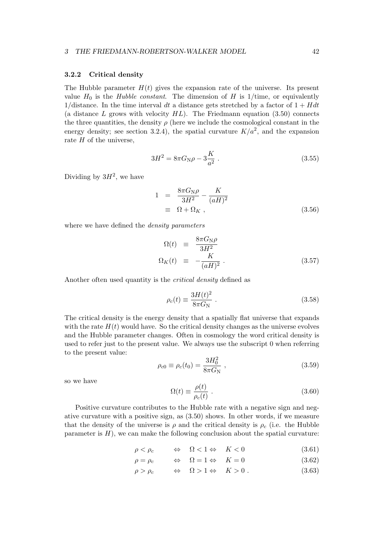## 3.2.2 Critical density

The Hubble parameter  $H(t)$  gives the expansion rate of the universe. Its present value  $H_0$  is the *Hubble constant*. The dimension of H is 1/time, or equivalently 1/distance. In the time interval dt a distance gets stretched by a factor of  $1 + Hdt$ (a distance  $L$  grows with velocity  $HL$ ). The Friedmann equation (3.50) connects the three quantities, the density  $\rho$  (here we include the cosmological constant in the energy density; see section 3.2.4), the spatial curvature  $K/a^2$ , and the expansion rate  $H$  of the universe,

$$
3H^2 = 8\pi G_N \rho - 3\frac{K}{a^2} \,. \tag{3.55}
$$

Dividing by  $3H^2$ , we have

$$
1 = \frac{8\pi G_{\rm N}\rho}{3H^2} - \frac{K}{(aH)^2}
$$
  

$$
\equiv \Omega + \Omega_K , \qquad (3.56)
$$

where we have defined the *density parameters*

$$
\Omega(t) \equiv \frac{8\pi G_{\rm N}\rho}{3H^2} \n\Omega_K(t) \equiv -\frac{K}{(aH)^2} .
$$
\n(3.57)

Another often used quantity is the *critical density* defined as

$$
\rho_c(t) \equiv \frac{3H(t)^2}{8\pi G_N} \tag{3.58}
$$

The critical density is the energy density that a spatially flat universe that expands with the rate  $H(t)$  would have. So the critical density changes as the universe evolves and the Hubble parameter changes. Often in cosmology the word critical density is used to refer just to the present value. We always use the subscript 0 when referring to the present value:

$$
\rho_{c0} \equiv \rho_c(t_0) = \frac{3H_0^2}{8\pi G_N} \,, \tag{3.59}
$$

so we have

$$
\Omega(t) \equiv \frac{\rho(t)}{\rho_c(t)} \; . \tag{3.60}
$$

Positive curvature contributes to the Hubble rate with a negative sign and negative curvature with a positive sign, as (3.50) shows. In other words, if we measure that the density of the universe is  $\rho$  and the critical density is  $\rho_c$  (i.e. the Hubble parameter is  $H$ ), we can make the following conclusion about the spatial curvature:

$$
\rho < \rho_c \qquad \Leftrightarrow \quad \Omega < 1 \Leftrightarrow \quad K < 0 \tag{3.61}
$$

$$
\rho = \rho_c \qquad \Leftrightarrow \quad \Omega = 1 \Leftrightarrow \quad K = 0 \tag{3.62}
$$

$$
\rho > \rho_c \qquad \Leftrightarrow \quad \Omega > 1 \Leftrightarrow \quad K > 0 \; . \tag{3.63}
$$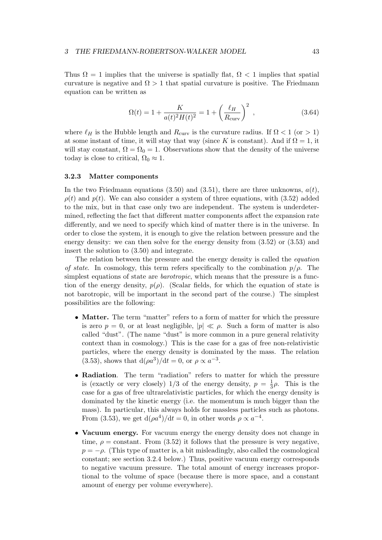Thus  $\Omega = 1$  implies that the universe is spatially flat,  $\Omega < 1$  implies that spatial curvature is negative and  $\Omega > 1$  that spatial curvature is positive. The Friedmann equation can be written as

$$
\Omega(t) = 1 + \frac{K}{a(t)^2 H(t)^2} = 1 + \left(\frac{\ell_H}{R_{\text{curv}}}\right)^2 , \qquad (3.64)
$$

where  $\ell_H$  is the Hubble length and  $R_{\text{curv}}$  is the curvature radius. If  $\Omega < 1$  (or  $> 1$ ) at some instant of time, it will stay that way (since K is constant). And if  $\Omega = 1$ , it will stay constant,  $\Omega = \Omega_0 = 1$ . Observations show that the density of the universe today is close to critical,  $\Omega_0 \approx 1$ .

#### 3.2.3 Matter components

In the two Friedmann equations (3.50) and (3.51), there are three unknowns,  $a(t)$ ,  $\rho(t)$  and  $p(t)$ . We can also consider a system of three equations, with (3.52) added to the mix, but in that case only two are independent. The system is underdetermined, reflecting the fact that different matter components affect the expansion rate differently, and we need to specify which kind of matter there is in the universe. In order to close the system, it is enough to give the relation between pressure and the energy density: we can then solve for the energy density from (3.52) or (3.53) and insert the solution to (3.50) and integrate.

The relation between the pressure and the energy density is called the *equation of state*. In cosmology, this term refers specifically to the combination  $p/\rho$ . The simplest equations of state are *barotropic*, which means that the pressure is a function of the energy density,  $p(\rho)$ . (Scalar fields, for which the equation of state is not barotropic, will be important in the second part of the course.) The simplest possibilities are the following:

- Matter. The term "matter" refers to a form of matter for which the pressure is zero  $p = 0$ , or at least negligible,  $|p| \ll \rho$ . Such a form of matter is also called "dust". (The name "dust" is more common in a pure general relativity context than in cosmology.) This is the case for a gas of free non-relativistic particles, where the energy density is dominated by the mass. The relation (3.53), shows that  $d(\rho a^3)/dt = 0$ , or  $\rho \propto a^{-3}$ .
- Radiation. The term "radiation" refers to matter for which the pressure is (exactly or very closely)  $1/3$  of the energy density,  $p = \frac{1}{3}$  $\frac{1}{3}\rho$ . This is the case for a gas of free ultrarelativistic particles, for which the energy density is dominated by the kinetic energy (i.e. the momentum is much bigger than the mass). In particular, this always holds for massless particles such as photons. From (3.53), we get  $d(\rho a^4)/dt = 0$ , in other words  $\rho \propto a^{-4}$ .
- Vacuum energy. For vacuum energy the energy density does not change in time,  $\rho = constant$ . From (3.52) it follows that the pressure is very negative,  $p = -\rho$ . (This type of matter is, a bit misleadingly, also called the cosmological constant; see section 3.2.4 below.) Thus, positive vacuum energy corresponds to negative vacuum pressure. The total amount of energy increases proportional to the volume of space (because there is more space, and a constant amount of energy per volume everywhere).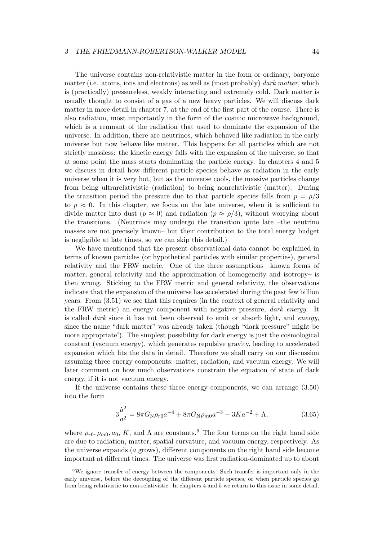#### 3 THE FRIEDMANN-ROBERTSON-WALKER MODEL 44

The universe contains non-relativistic matter in the form or ordinary, baryonic matter (i.e. atoms, ions and electrons) as well as (most probably) *dark matter*, which is (practically) pressureless, weakly interacting and extremely cold. Dark matter is usually thought to consist of a gas of a new heavy particles. We will discuss dark matter in more detail in chapter 7, at the end of the first part of the course. There is also radiation, most importantly in the form of the cosmic microwave background, which is a remnant of the radiation that used to dominate the expansion of the universe. In addition, there are neutrinos, which behaved like radiation in the early universe but now behave like matter. This happens for all particles which are not strictly massless: the kinetic energy falls with the expansion of the universe, so that at some point the mass starts dominating the particle energy. In chapters 4 and 5 we discuss in detail how different particle species behave as radiation in the early universe when it is very hot, but as the universe cools, the massive particles change from being ultrarelativistic (radiation) to being nonrelativistic (matter). During the transition period the pressure due to that particle species falls from  $p = \rho/3$ to  $p \approx 0$ . In this chapter, we focus on the late universe, when it is sufficient to divide matter into dust  $(p \approx 0)$  and radiation  $(p \approx \rho/3)$ , without worrying about the transitions. (Neutrinos may undergo the transition quite late –the neutrino masses are not precisely known– but their contribution to the total energy budget is negligible at late times, so we can skip this detail.)

We have mentioned that the present observational data cannot be explained in terms of known particles (or hypothetical particles with similar properties), general relativity and the FRW metric. One of the three assumptions –known forms of matter, general relativity and the approximation of homogeneity and isotropy– is then wrong. Sticking to the FRW metric and general relativity, the observations indicate that the expansion of the universe has accelerated during the past few billion years. From (3.51) we see that this requires (in the context of general relativity and the FRW metric) an energy component with negative pressure, *dark energy*. It is called *dark* since it has not been observed to emit or absorb light, and *energy*, since the name "dark matter" was already taken (though "dark pressure" might be more appropriate!). The simplest possibility for dark energy is just the cosmological constant (vacuum energy), which generates repulsive gravity, leading to accelerated expansion which fits the data in detail. Therefore we shall carry on our discussion assuming three energy components: matter, radiation, and vacuum energy. We will later comment on how much observations constrain the equation of state of dark energy, if it is not vacuum energy.

If the universe contains these three energy components, we can arrange (3.50) into the form

$$
3\frac{\dot{a}^2}{a^2} = 8\pi G_N \rho_{r0} a^{-4} + 8\pi G_N \rho_{m0} a^{-3} - 3Ka^{-2} + \Lambda,
$$
 (3.65)

where  $\rho_{r0}, \rho_{m0}, a_0, K$ , and  $\Lambda$  are constants.<sup>6</sup> The four terms on the right hand side are due to radiation, matter, spatial curvature, and vacuum energy, respectively. As the universe expands (a grows), different components on the right hand side become important at different times. The universe was first radiation-dominated up to about

 $6$ We ignore transfer of energy between the components. Such transfer is important only in the early universe, before the decoupling of the different particle species, or when particle species go from being relativistic to non-relativistic. In chapters 4 and 5 we return to this issue in some detail.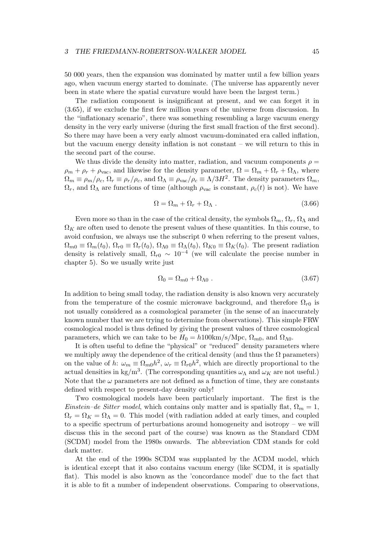50 000 years, then the expansion was dominated by matter until a few billion years ago, when vacuum energy started to dominate. (The universe has apparently never been in state where the spatial curvature would have been the largest term.)

The radiation component is insignificant at present, and we can forget it in (3.65), if we exclude the first few million years of the universe from discussion. In the "inflationary scenario", there was something resembling a large vacuum energy density in the very early universe (during the first small fraction of the first second). So there may have been a very early almost vacuum-dominated era called inflation, but the vacuum energy density inflation is not constant – we will return to this in the second part of the course.

We thus divide the density into matter, radiation, and vacuum components  $\rho =$  $\rho_m + \rho_r + \rho_{\text{vac}}$ , and likewise for the density parameter,  $\Omega = \Omega_m + \Omega_r + \Omega_\Lambda$ , where  $\Omega_m \equiv \rho_m/\rho_c$ ,  $\Omega_r \equiv \rho_r/\rho_c$ , and  $\Omega_\Lambda \equiv \rho_{\rm vac}/\rho_c \equiv \Lambda/3H^2$ . The density parameters  $\Omega_m$ ,  $\Omega_r$ , and  $\Omega_\Lambda$  are functions of time (although  $\rho_{\text{vac}}$  is constant,  $\rho_c(t)$  is not). We have

$$
\Omega = \Omega_m + \Omega_r + \Omega_\Lambda . \tag{3.66}
$$

Even more so than in the case of the critical density, the symbols  $\Omega_m$ ,  $\Omega_r$ ,  $\Omega_\Lambda$  and  $\Omega_K$  are often used to denote the present values of these quantities. In this course, to avoid confusion, we always use the subscript 0 when referring to the present values,  $\Omega_{m0} \equiv \Omega_m(t_0)$ ,  $\Omega_{r0} \equiv \Omega_r(t_0)$ ,  $\Omega_{\Lambda 0} \equiv \Omega_{\Lambda}(t_0)$ ,  $\Omega_{K0} \equiv \Omega_K(t_0)$ . The present radiation density is relatively small,  $\Omega_{r0} \sim 10^{-4}$  (we will calculate the precise number in chapter 5). So we usually write just

$$
\Omega_0 = \Omega_{m0} + \Omega_{\Lambda 0} \tag{3.67}
$$

In addition to being small today, the radiation density is also known very accurately from the temperature of the cosmic microwave background, and therefore  $\Omega_{r0}$  is not usually considered as a cosmological parameter (in the sense of an inaccurately known number that we are trying to determine from observations). This simple FRW cosmological model is thus defined by giving the present values of three cosmological parameters, which we can take to be  $H_0 = h100 \text{km/s/Mpc}$ ,  $\Omega_{m0}$ , and  $\Omega_{\Lambda 0}$ .

It is often useful to define the "physical" or "reduced" density parameters where we multiply away the dependence of the critical density (and thus the  $\Omega$  parameters) on the value of h:  $\omega_m \equiv \Omega_{m0}h^2$ ,  $\omega_r \equiv \Omega_{r0}h^2$ , which are directly proportional to the actual densities in kg/m<sup>3</sup>. (The corresponding quantities  $\omega_{\Lambda}$  and  $\omega_{K}$  are not useful.) Note that the  $\omega$  parameters are not defined as a function of time, they are constants defined with respect to present-day density only!

Two cosmological models have been particularly important. The first is the *Einstein–de Sitter model*, which contains only matter and is spatially flat,  $\Omega_m = 1$ ,  $\Omega_r = \Omega_K = \Omega_\Lambda = 0$ . This model (with radiation added at early times, and coupled to a specific spectrum of perturbations around homogeneity and isotropy – we will discuss this in the second part of the course) was known as the Standard CDM (SCDM) model from the 1980s onwards. The abbreviation CDM stands for cold dark matter.

At the end of the 1990s SCDM was supplanted by the ΛCDM model, which is identical except that it also contains vacuum energy (like SCDM, it is spatially flat). This model is also known as the 'concordance model' due to the fact that it is able to fit a number of independent observations. Comparing to observations,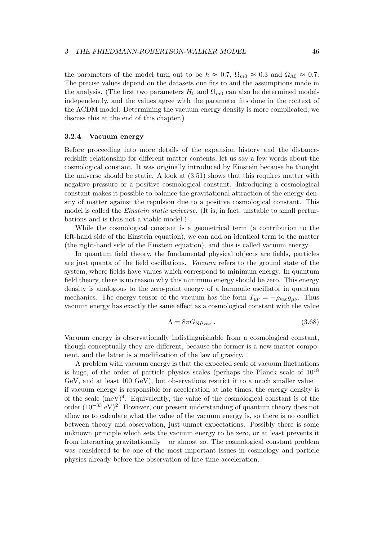the parameters of the model turn out to be  $h \approx 0.7$ ,  $\Omega_{m0} \approx 0.3$  and  $\Omega_{\Lambda 0} \approx 0.7$ . The precise values depend on the datasets one fits to and the assumptions made in the analysis. (The first two parameters  $H_0$  and  $\Omega_{m0}$  can also be determined modelindependently, and the values agree with the parameter fits done in the context of the ΛCDM model. Determining the vacuum energy density is more complicated; we discuss this at the end of this chapter.)

## 3.2.4 Vacuum energy

Before proceeding into more details of the expansion history and the distanceredshift relationship for different matter contents, let us say a few words about the cosmological constant. It was originally introduced by Einstein because he thought the universe should be static. A look at (3.51) shows that this requires matter with negative pressure or a positive cosmological constant. Introducing a cosmological constant makes it possible to balance the gravitational attraction of the energy density of matter against the repulsion due to a positive cosmological constant. This model is called the *Einstein static universe*. (It is, in fact, unstable to small perturbations and is thus not a viable model.)

While the cosmological constant is a geometrical term (a contribution to the left-hand side of the Einstein equation), we can add an identical term to the matter (the right-hand side of the Einstein equation), and this is called vacuum energy.

In quantum field theory, the fundamental physical objects are fields, particles are just quanta of the field oscillations. *Vacuum* refers to the ground state of the system, where fields have values which correspond to minimum energy. In quantum field theory, there is no reason why this minimum energy should be zero. This energy density is analogous to the zero-point energy of a harmonic oscillator in quantum mechanics. The energy tensor of the vacuum has the form  $T_{\mu\nu} = -\rho_{\text{vac}}g_{\mu\nu}$ . Thus vacuum energy has exactly the same effect as a cosmological constant with the value

$$
\Lambda = 8\pi G_{\rm N} \rho_{\rm vac} \ . \tag{3.68}
$$

Vacuum energy is observationally indistinguishable from a cosmological constant, though conceptually they are different, because the former is a new matter component, and the latter is a modification of the law of gravity.

A problem with vacuum energy is that the expected scale of vacuum fluctuations is huge, of the order of particle physics scales (perhaps the Planck scale of  $10^{18}$ ) GeV, and at least 100 GeV), but observations restrict it to a much smaller value – if vacuum energy is responsible for acceleration at late times, the energy density is of the scale  $(meV)^4$ . Equivalently, the value of the cosmological constant is of the order  $(10^{-33} \text{ eV})^2$ . However, our present understanding of quantum theory does not allow us to calculate what the value of the vacuum energy is, so there is no conflict between theory and observation, just unmet expectations. Possibly there is some unknown principle which sets the vacuum energy to be zero, or at least prevents it from interacting gravitationally – or almost so. The cosmological constant problem was considered to be one of the most important issues in cosmology and particle physics already before the observation of late time acceleration.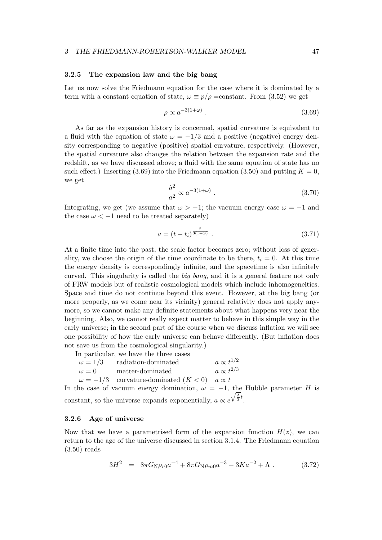### 3.2.5 The expansion law and the big bang

Let us now solve the Friedmann equation for the case where it is dominated by a term with a constant equation of state,  $\omega \equiv p/\rho = \text{constant}$ . From (3.52) we get

$$
\rho \propto a^{-3(1+\omega)} \tag{3.69}
$$

As far as the expansion history is concerned, spatial curvature is equivalent to a fluid with the equation of state  $\omega = -1/3$  and a positive (negative) energy density corresponding to negative (positive) spatial curvature, respectively. (However, the spatial curvature also changes the relation between the expansion rate and the redshift, as we have discussed above; a fluid with the same equation of state has no such effect.) Inserting (3.69) into the Friedmann equation (3.50) and putting  $K = 0$ , we get

$$
\frac{\dot{a}^2}{a^2} \propto a^{-3(1+\omega)} \ . \tag{3.70}
$$

Integrating, we get (we assume that  $\omega > -1$ ; the vacuum energy case  $\omega = -1$  and the case  $\omega < -1$  need to be treated separately)

$$
a = (t - t_i)^{\frac{2}{3(1 + \omega)}}.
$$
\n(3.71)

At a finite time into the past, the scale factor becomes zero; without loss of generality, we choose the origin of the time coordinate to be there,  $t_i = 0$ . At this time the energy density is correspondingly infinite, and the spacetime is also infinitely curved. This singularity is called the *big bang*, and it is a general feature not only of FRW models but of realistic cosmological models which include inhomogeneities. Space and time do not continue beyond this event. However, at the big bang (or more properly, as we come near its vicinity) general relativity does not apply anymore, so we cannot make any definite statements about what happens very near the beginning. Also, we cannot really expect matter to behave in this simple way in the early universe; in the second part of the course when we discuss inflation we will see one possibility of how the early universe can behave differently. (But inflation does not save us from the cosmological singularity.)

In particular, we have the three cases

| $\omega = 1/3$ radiation-dominated                          | $a \propto t^{1/2}$ |
|-------------------------------------------------------------|---------------------|
| $\omega = 0$ matter-dominated                               | $a \propto t^{2/3}$ |
| $\omega = -1/3$ curvature-dominated $(K < 0)$ a $\propto t$ |                     |

In the case of vacuum energy domination,  $\omega = -1$ , the Hubble parameter H is constant, so the universe expands exponentially,  $a \propto e^{\sqrt{\frac{\Lambda}{3}}t}$ .

### 3.2.6 Age of universe

Now that we have a parametrised form of the expansion function  $H(z)$ , we can return to the age of the universe discussed in section 3.1.4. The Friedmann equation (3.50) reads

$$
3H^2 = 8\pi G_{\rm N}\rho_{r0}a^{-4} + 8\pi G_{\rm N}\rho_{m0}a^{-3} - 3Ka^{-2} + \Lambda \,. \tag{3.72}
$$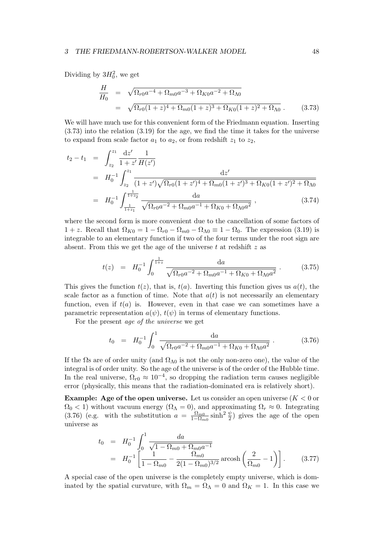Dividing by  $3H_0^2$ , we get

$$
\frac{H}{H_0} = \sqrt{\Omega_{r0}a^{-4} + \Omega_{m0}a^{-3} + \Omega_{K0}a^{-2} + \Omega_{\Lambda 0}}
$$
\n
$$
= \sqrt{\Omega_{r0}(1+z)^4 + \Omega_{m0}(1+z)^3 + \Omega_{K0}(1+z)^2 + \Omega_{\Lambda 0}}.
$$
\n(3.73)

We will have much use for this convenient form of the Friedmann equation. Inserting (3.73) into the relation (3.19) for the age, we find the time it takes for the universe to expand from scale factor  $a_1$  to  $a_2$ , or from redshift  $z_1$  to  $z_2$ ,

$$
t_2 - t_1 = \int_{z_2}^{z_1} \frac{dz'}{1 + z'} \frac{1}{H(z')}
$$
  
=  $H_0^{-1} \int_{z_2}^{z_1} \frac{dz'}{(1 + z')\sqrt{\Omega_{r0}(1 + z')^4 + \Omega_{m0}(1 + z')^3 + \Omega_{K0}(1 + z')^2 + \Omega_{\Lambda0}}}$   
=  $H_0^{-1} \int_{\frac{1}{1 + z_1}}^{\frac{1}{1 + z_2}} \frac{da}{\sqrt{\Omega_{r0}a^{-2} + \Omega_{m0}a^{-1} + \Omega_{K0} + \Omega_{\Lambda0}a^2}}$ , (3.74)

where the second form is more convenient due to the cancellation of some factors of  $1 + z$ . Recall that  $\Omega_{K0} = 1 - \Omega_{r0} - \Omega_{m0} - \Omega_{\Lambda 0} \equiv 1 - \Omega_0$ . The expression (3.19) is integrable to an elementary function if two of the four terms under the root sign are absent. From this we get the age of the universe  $t$  at redshift  $z$  as

$$
t(z) = H_0^{-1} \int_0^{\frac{1}{1+z}} \frac{da}{\sqrt{\Omega_{r0} a^{-2} + \Omega_{m0} a^{-1} + \Omega_{K0} + \Omega_{\Lambda 0} a^2}} \,. \tag{3.75}
$$

This gives the function  $t(z)$ , that is,  $t(a)$ . Inverting this function gives us  $a(t)$ , the scale factor as a function of time. Note that  $a(t)$  is not necessarily an elementary function, even if  $t(a)$  is. However, even in that case we can sometimes have a parametric representation  $a(\psi)$ ,  $t(\psi)$  in terms of elementary functions.

For the present *age of the universe* we get

$$
t_0 = H_0^{-1} \int_0^1 \frac{da}{\sqrt{\Omega_{r0} a^{-2} + \Omega_{m0} a^{-1} + \Omega_{K0} + \Omega_{\Lambda 0} a^2}} \,. \tag{3.76}
$$

If the  $\Omega$ s are of order unity (and  $\Omega_{\Lambda 0}$  is not the only non-zero one), the value of the integral is of order unity. So the age of the universe is of the order of the Hubble time. In the real universe,  $\Omega_{r0} \approx 10^{-4}$ , so dropping the radiation term causes negligible error (physically, this means that the radiation-dominated era is relatively short).

**Example:** Age of the open universe. Let us consider an open universe  $(K < 0$  or  $\Omega_0$  < 1) without vacuum energy  $(\Omega_\Lambda = 0)$ , and approximating  $\Omega_r \approx 0$ . Integrating  $(3.76)$  (e.g. with the substitution  $a = \frac{\Omega_{m0}}{1-\Omega}$  $\frac{\Omega_{m0}}{1-\Omega_{m0}}\sinh^2\frac{\psi}{2}$  gives the age of the open universe as

$$
t_0 = H_0^{-1} \int_0^1 \frac{da}{\sqrt{1 - \Omega_{m0} + \Omega_{m0} a^{-1}}}
$$
  
=  $H_0^{-1} \left[ \frac{1}{1 - \Omega_{m0}} - \frac{\Omega_{m0}}{2(1 - \Omega_{m0})^{3/2}} \operatorname{arcosh}\left(\frac{2}{\Omega_{m0}} - 1\right) \right].$  (3.77)

A special case of the open universe is the completely empty universe, which is dominated by the spatial curvature, with  $\Omega_m = \Omega_{\Lambda} = 0$  and  $\Omega_K = 1$ . In this case we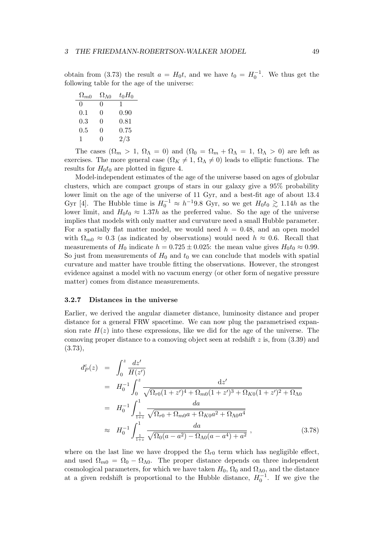obtain from (3.73) the result  $a = H_0 t$ , and we have  $t_0 = H_0^{-1}$ . We thus get the following table for the age of the universe:

| $\Omega_{m0}$ | $\Omega_{\Lambda0}$ | $t_0H_0$ |
|---------------|---------------------|----------|
| $\mathbf{0}$  | 0                   | T        |
| 0.1           | 0                   | 0.90     |
| 0.3           | 0                   | 0.81     |
| 0.5           | 0                   | 0.75     |
| 1             | 0                   | 2/3      |

The cases  $(\Omega_m > 1, \Omega_\Lambda = 0)$  and  $(\Omega_0 = \Omega_m + \Omega_\Lambda = 1, \Omega_\Lambda > 0)$  are left as exercises. The more general case  $(\Omega_K \neq 1, \Omega_\Lambda \neq 0)$  leads to elliptic functions. The results for  $H_0t_0$  are plotted in figure 4.

Model-independent estimates of the age of the universe based on ages of globular clusters, which are compact groups of stars in our galaxy give a 95% probability lower limit on the age of the universe of 11 Gyr, and a best-fit age of about 13.4 Gyr [4]. The Hubble time is  $H_0^{-1} \approx h^{-1}9.8$  Gyr, so we get  $H_0t_0 \gtrsim 1.14h$  as the lower limit, and  $H_0t_0 \approx 1.37h$  as the preferred value. So the age of the universe implies that models with only matter and curvature need a small Hubble parameter. For a spatially flat matter model, we would need  $h = 0.48$ , and an open model with  $\Omega_{m0} \approx 0.3$  (as indicated by observations) would need  $h \approx 0.6$ . Recall that measurements of  $H_0$  indicate  $h = 0.725 \pm 0.025$ : the mean value gives  $H_0 t_0 \approx 0.99$ . So just from measurements of  $H_0$  and  $t_0$  we can conclude that models with spatial curvature and matter have trouble fitting the observations. However, the strongest evidence against a model with no vacuum energy (or other form of negative pressure matter) comes from distance measurements.

#### 3.2.7 Distances in the universe

Earlier, we derived the angular diameter distance, luminosity distance and proper distance for a general FRW spacetime. We can now plug the parametrised expansion rate  $H(z)$  into these expressions, like we did for the age of the universe. The comoving proper distance to a comoving object seen at redshift  $z$  is, from  $(3.39)$  and (3.73),

$$
d_{P}^{c}(z) = \int_{0}^{z} \frac{dz'}{H(z')}
$$
  
\n
$$
= H_{0}^{-1} \int_{0}^{z} \frac{dz'}{\sqrt{\Omega_{r0}(1+z')^{4} + \Omega_{m0}(1+z')^{3} + \Omega_{K0}(1+z')^{2} + \Omega_{\Lambda0}}}
$$
  
\n
$$
= H_{0}^{-1} \int_{\frac{1}{1+z}}^{1} \frac{da}{\sqrt{\Omega_{r0} + \Omega_{m0}a + \Omega_{K0}a^{2} + \Omega_{\Lambda0}a^{4}}}
$$
  
\n
$$
\approx H_{0}^{-1} \int_{\frac{1}{1+z}}^{1} \frac{da}{\sqrt{\Omega_{0}(a-a^{2}) - \Omega_{\Lambda0}(a-a^{4}) + a^{2}}},
$$
(3.78)

where on the last line we have dropped the  $\Omega_{r0}$  term which has negligible effect, and used  $\Omega_{m0} = \Omega_0 - \Omega_{\Lambda 0}$ . The proper distance depends on three independent cosmological parameters, for which we have taken  $H_0$ ,  $\Omega_0$  and  $\Omega_{\Lambda 0}$ , and the distance at a given redshift is proportional to the Hubble distance,  $H_0^{-1}$ . If we give the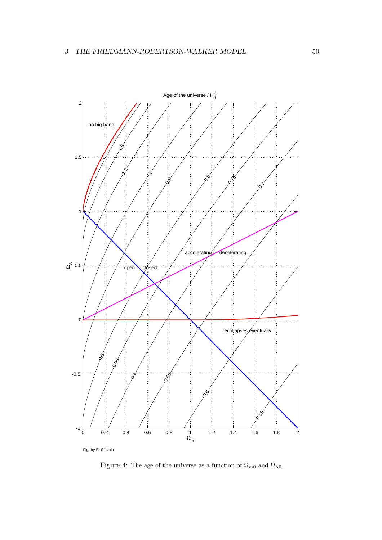

Figure 4: The age of the universe as a function of  $\Omega_{m0}$  and  $\Omega_{\Lambda0}$ .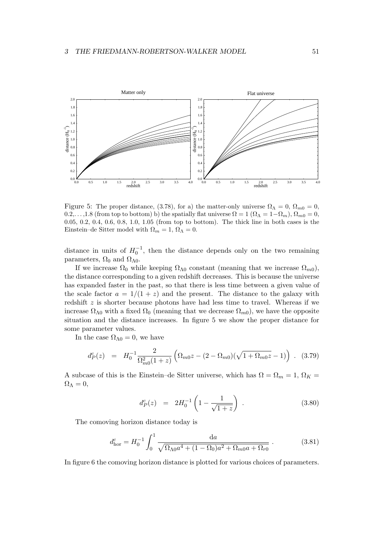

Figure 5: The proper distance, (3.78), for a) the matter-only universe  $\Omega_{\Lambda} = 0$ ,  $\Omega_{m0} = 0$ , 0.2,...,1.8 (from top to bottom) b) the spatially flat universe  $\Omega = 1$  ( $\Omega_{\Lambda} = 1 - \Omega_m$ ),  $\Omega_{m0} = 0$ , 0.05, 0.2, 0.4, 0.6, 0.8, 1.0, 1.05 (from top to bottom). The thick line in both cases is the Einstein–de Sitter model with  $\Omega_m = 1$ ,  $\Omega_{\Lambda} = 0$ .

distance in units of  $H_0^{-1}$ , then the distance depends only on the two remaining parameters,  $\Omega_0$  and  $\Omega_{\Lambda 0}$ .

If we increase  $\Omega_0$  while keeping  $\Omega_{\Lambda 0}$  constant (meaning that we increase  $\Omega_{m0}$ ), the distance corresponding to a given redshift decreases. This is because the universe has expanded faster in the past, so that there is less time between a given value of the scale factor  $a = 1/(1 + z)$  and the present. The distance to the galaxy with redshift  $z$  is shorter because photons have had less time to travel. Whereas if we increase  $\Omega_{\Lambda 0}$  with a fixed  $\Omega_0$  (meaning that we decrease  $\Omega_{m0}$ ), we have the opposite situation and the distance increases. In figure 5 we show the proper distance for some parameter values.

In the case  $\Omega_{\Lambda 0} = 0$ , we have

$$
d_P^c(z) = H_0^{-1} \frac{2}{\Omega_{m0}^2 (1+z)} \left( \Omega_{m0} z - (2 - \Omega_{m0}) (\sqrt{1 + \Omega_{m0} z} - 1) \right) . \tag{3.79}
$$

A subcase of this is the Einstein–de Sitter universe, which has  $\Omega = \Omega_m = 1$ ,  $\Omega_K =$  $\Omega_{\Lambda}=0,$ 

$$
d_P^c(z) = 2H_0^{-1} \left( 1 - \frac{1}{\sqrt{1+z}} \right) . \tag{3.80}
$$

The comoving horizon distance today is

$$
d_{\text{hor}}^c = H_0^{-1} \int_0^1 \frac{da}{\sqrt{\Omega_{\Lambda 0} a^4 + (1 - \Omega_0) a^2 + \Omega_{m0} a + \Omega_{r0}}} \,. \tag{3.81}
$$

In figure 6 the comoving horizon distance is plotted for various choices of parameters.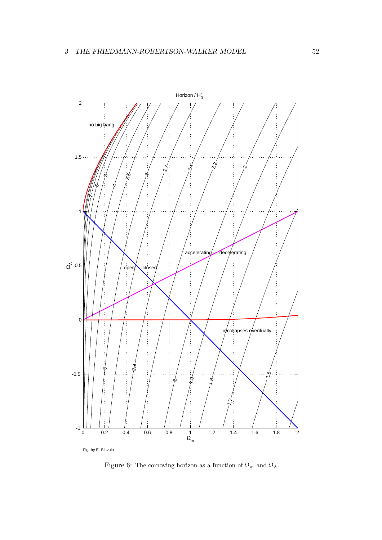

Figure 6: The comoving horizon as a function of  $\Omega_m$  and  $\Omega_{\Lambda}$ .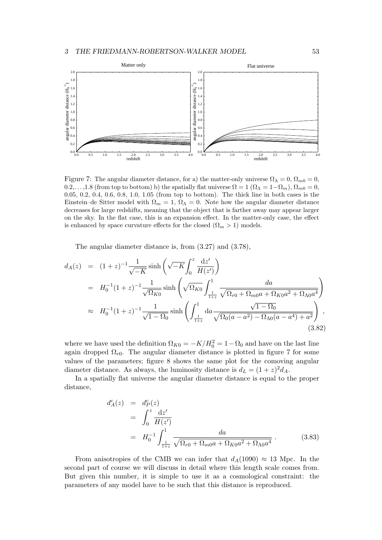

Figure 7: The angular diameter distance, for a) the matter-only universe  $\Omega_{\Lambda} = 0$ ,  $\Omega_{m0} = 0$ ,  $0.2,...,1.8$  (from top to bottom) b) the spatially flat universe  $\Omega = 1$   $(\Omega_{\Lambda} = 1 - \Omega_m)$ ,  $\Omega_{m0} = 0$ , 0.05, 0.2, 0.4, 0.6, 0.8, 1.0, 1.05 (from top to bottom). The thick line in both cases is the Einstein–de Sitter model with  $\Omega_m = 1$ ,  $\Omega_{\Lambda} = 0$ . Note how the angular diameter distance decreases for large redshifts, meaning that the object that is farther away may appear larger on the sky. In the flat case, this is an expansion effect. In the matter-only case, the effect is enhanced by space curvature effects for the closed  $(\Omega_m > 1)$  models.

The angular diameter distance is, from (3.27) and (3.78),

$$
d_{A}(z) = (1+z)^{-1} \frac{1}{\sqrt{-K}} \sinh\left(\sqrt{-K} \int_{0}^{z} \frac{dz'}{H(z')}\right)
$$
  
\n
$$
= H_{0}^{-1} (1+z)^{-1} \frac{1}{\sqrt{\Omega_{K0}}} \sinh\left(\sqrt{\Omega_{K0}} \int_{\frac{1}{1+z}}^{1} \frac{da}{\sqrt{\Omega_{r0} + \Omega_{m0}a + \Omega_{K0}a^{2} + \Omega_{\Lambda0}a^{4}}}\right)
$$
  
\n
$$
\approx H_{0}^{-1} (1+z)^{-1} \frac{1}{\sqrt{1-\Omega_{0}}} \sinh\left(\int_{\frac{1}{1+z}}^{1} da \frac{\sqrt{1-\Omega_{0}}}{\sqrt{\Omega_{0}(a-a^{2}) - \Omega_{\Lambda0}(a-a^{4}) + a^{2}}}\right),
$$
\n(3.82)

where we have used the definition  $\Omega_{K0} = -K/H_0^2 = 1 - \Omega_0$  and have on the last line again dropped  $\Omega_{r0}$ . The angular diameter distance is plotted in figure 7 for some values of the parameters; figure 8 shows the same plot for the comoving angular diameter distance. As always, the luminosity distance is  $d_L = (1+z)^2 d_A$ .

In a spatially flat universe the angular diameter distance is equal to the proper distance,

$$
d_A^c(z) = d_P^c(z)
$$
  
=  $\int_0^z \frac{dz'}{H(z')}$   
=  $H_0^{-1} \int_{\frac{1}{1+z}}^1 \frac{da}{\sqrt{\Omega_{r0} + \Omega_{m0}a + \Omega_{K0}a^2 + \Omega_{\Lambda0}a^4}}$ . (3.83)

From anisotropies of the CMB we can infer that  $d_A(1090) \approx 13$  Mpc. In the second part of course we will discuss in detail where this length scale comes from. But given this number, it is simple to use it as a cosmological constraint: the parameters of any model have to be such that this distance is reproduced.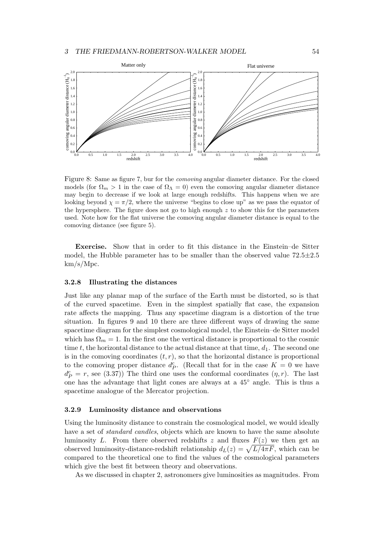

Figure 8: Same as figure 7, bur for the *comoving* angular diameter distance. For the closed models (for  $\Omega_m > 1$  in the case of  $\Omega_{\Lambda} = 0$ ) even the comoving angular diameter distance may begin to decrease if we look at large enough redshifts. This happens when we are looking beyond  $\chi = \pi/2$ , where the universe "begins to close up" as we pass the equator of the hypersphere. The figure does not go to high enough  $z$  to show this for the parameters used. Note how for the flat universe the comoving angular diameter distance is equal to the comoving distance (see figure 5).

Exercise. Show that in order to fit this distance in the Einstein–de Sitter model, the Hubble parameter has to be smaller than the observed value  $72.5 \pm 2.5$ km/s/Mpc.

#### 3.2.8 Illustrating the distances

Just like any planar map of the surface of the Earth must be distorted, so is that of the curved spacetime. Even in the simplest spatially flat case, the expansion rate affects the mapping. Thus any spacetime diagram is a distortion of the true situation. In figures 9 and 10 there are three different ways of drawing the same spacetime diagram for the simplest cosmological model, the Einstein–de Sitter model which has  $\Omega_m = 1$ . In the first one the vertical distance is proportional to the cosmic time t, the horizontal distance to the actual distance at that time,  $d_1$ . The second one is in the comoving coordinates  $(t, r)$ , so that the horizontal distance is proportional to the comoving proper distance  $d_P^c$ . (Recall that for in the case  $K = 0$  we have  $d_P^c = r$ , see (3.37)) The third one uses the conformal coordinates  $(\eta, r)$ . The last one has the advantage that light cones are always at a 45◦ angle. This is thus a spacetime analogue of the Mercator projection.

### 3.2.9 Luminosity distance and observations

Using the luminosity distance to constrain the cosmological model, we would ideally have a set of *standard candles*, objects which are known to have the same absolute luminosity L. From there observed redshifts z and fluxes  $F(z)$  we then get an observed luminosity-distance-redshift relationship  $d_L(z) = \sqrt{L/4\pi F}$ , which can be compared to the theoretical one to find the values of the cosmological parameters which give the best fit between theory and observations.

As we discussed in chapter 2, astronomers give luminosities as magnitudes. From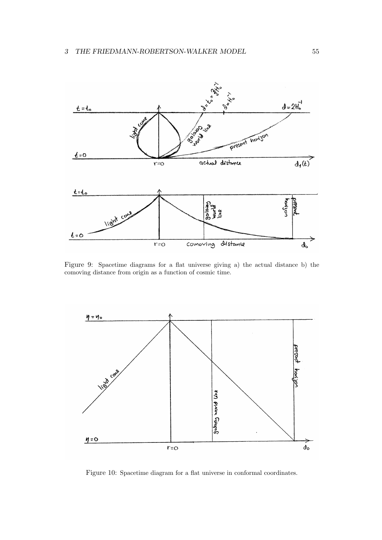

Figure 9: Spacetime diagrams for a flat universe giving a) the actual distance b) the comoving distance from origin as a function of cosmic time.



Figure 10: Spacetime diagram for a flat universe in conformal coordinates.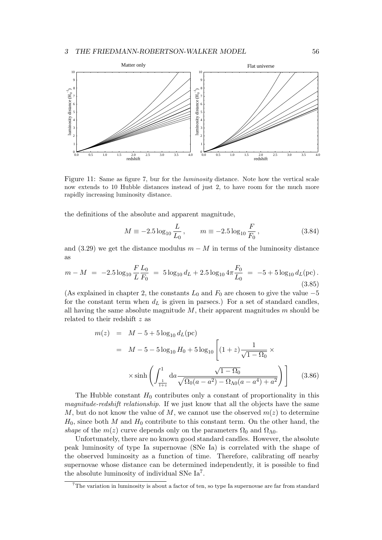

Figure 11: Same as figure 7, bur for the *luminosity* distance. Note how the vertical scale now extends to 10 Hubble distances instead of just 2, to have room for the much more rapidly increasing luminosity distance.

the definitions of the absolute and apparent magnitude,

$$
M \equiv -2.5 \log_{10} \frac{L}{L_0}, \qquad m \equiv -2.5 \log_{10} \frac{F}{F_0}, \qquad (3.84)
$$

and (3.29) we get the distance modulus  $m - M$  in terms of the luminosity distance as

$$
m - M = -2.5 \log_{10} \frac{F L_0}{L F_0} = 5 \log_{10} d_L + 2.5 \log_{10} 4\pi \frac{F_0}{L_0} = -5 + 5 \log_{10} d_L(\text{pc}).
$$
\n(3.85)

(As explained in chapter 2, the constants  $L_0$  and  $F_0$  are chosen to give the value  $-5$ for the constant term when  $d<sub>L</sub>$  is given in parsecs.) For a set of standard candles, all having the same absolute magnitude  $M$ , their apparent magnitudes  $m$  should be related to their redshift z as

$$
m(z) = M - 5 + 5 \log_{10} d_L(\text{pc})
$$
  
=  $M - 5 - 5 \log_{10} H_0 + 5 \log_{10} \left[ (1 + z) \frac{1}{\sqrt{1 - \Omega_0}} \times \right]$   
 $\times \sinh \left( \int_{\frac{1}{1+z}}^1 da \frac{\sqrt{1 - \Omega_0}}{\sqrt{\Omega_0 (a - a^2) - \Omega_{\Lambda 0} (a - a^4) + a^2}} \right) \right]$ (3.86)

The Hubble constant  $H_0$  contributes only a constant of proportionality in this *magnitude-redshift relationship*. If we just know that all the objects have the same M, but do not know the value of M, we cannot use the observed  $m(z)$  to determine  $H_0$ , since both M and  $H_0$  contribute to this constant term. On the other hand, the *shape* of the  $m(z)$  curve depends only on the parameters  $\Omega_0$  and  $\Omega_{\Lambda 0}$ .

Unfortunately, there are no known good standard candles. However, the absolute peak luminosity of type Ia supernovae (SNe Ia) is correlated with the shape of the observed luminosity as a function of time. Therefore, calibrating off nearby supernovae whose distance can be determined independently, it is possible to find the absolute luminosity of individual SNe Ia<sup>7</sup> .

 $7$ The variation in luminosity is about a factor of ten, so type Ia supernovae are far from standard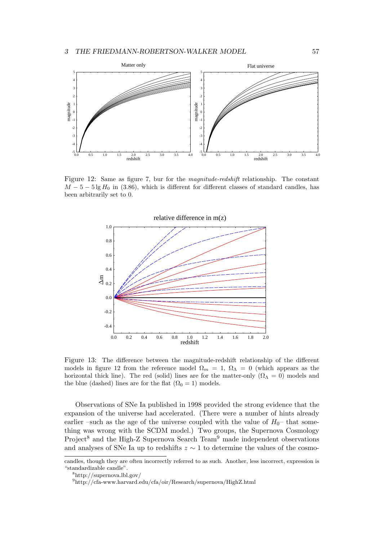

Figure 12: Same as figure 7, bur for the *magnitude-redshift* relationship. The constant  $M - 5 - 5 \lg H_0$  in (3.86), which is different for different classes of standard candles, has been arbitrarily set to 0.



Figure 13: The difference between the magnitude-redshift relationship of the different models in figure 12 from the reference model  $\Omega_m = 1$ ,  $\Omega_{\Lambda} = 0$  (which appears as the horizontal thick line). The red (solid) lines are for the matter-only  $(\Omega_{\Lambda} = 0)$  models and the blue (dashed) lines are for the flat ( $\Omega_0 = 1$ ) models.

Observations of SNe Ia published in 1998 provided the strong evidence that the expansion of the universe had accelerated. (There were a number of hints already earlier –such as the age of the universe coupled with the value of  $H_0$ – that something was wrong with the SCDM model.) Two groups, the Supernova Cosmology Project<sup>8</sup> and the High-Z Supernova Search Team<sup>9</sup> made independent observations and analyses of SNe Ia up to redshifts  $z \sim 1$  to determine the values of the cosmo-

candles, though they are often incorrectly referred to as such. Another, less incorrect, expression is "standardizable candle".

<sup>8</sup>http://supernova.lbl.gov/

<sup>9</sup>http://cfa-www.harvard.edu/cfa/oir/Research/supernova/HighZ.html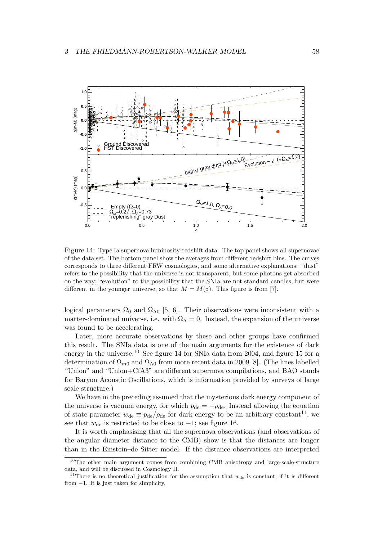

Figure 14: Type Ia supernova luminosity-redshift data. The top panel shows all supernovae of the data set. The bottom panel show the averages from different redshift bins. The curves corresponds to three different FRW cosmologies, and some alternative explanations: "dust" refers to the possibility that the universe is not transparent, but some photons get absorbed on the way; "evolution" to the possibility that the SNIa are not standard candles, but were different in the younger universe, so that  $M = M(z)$ . This figure is from [7].

logical parameters  $\Omega_0$  and  $\Omega_{\Lambda 0}$  [5, 6]. Their observations were inconsistent with a matter-dominated universe, i.e. with  $\Omega_{\Lambda} = 0$ . Instead, the expansion of the universe was found to be accelerating.

Later, more accurate observations by these and other groups have confirmed this result. The SNIa data is one of the main arguments for the existence of dark energy in the universe.<sup>10</sup> See figure 14 for SNIa data from 2004, and figure 15 for a determination of  $\Omega_{m0}$  and  $\Omega_{\Lambda0}$  from more recent data in 2009 [8]. (The lines labelled "Union" and "Union+CfA3" are different supernova compilations, and BAO stands for Baryon Acoustic Oscillations, which is information provided by surveys of large scale structure.)

We have in the preceding assumed that the mysterious dark energy component of the universe is vacuum energy, for which  $p_{de} = -\rho_{de}$ . Instead allowing the equation of state parameter  $w_{\text{de}} \equiv p_{\text{de}}/\rho_{\text{de}}$  for dark energy to be an arbitrary constant<sup>11</sup>, we see that  $w_{\text{de}}$  is restricted to be close to  $-1$ ; see figure 16.

It is worth emphasising that all the supernova observations (and observations of the angular diameter distance to the CMB) show is that the distances are longer than in the Einstein–de Sitter model. If the distance observations are interpreted

<sup>&</sup>lt;sup>10</sup>The other main argument comes from combining CMB anisotropy and large-scale-structure data, and will be discussed in Cosmology II.

<sup>&</sup>lt;sup>11</sup>There is no theoretical justification for the assumption that  $w_{\text{de}}$  is constant, if it is different from −1. It is just taken for simplicity.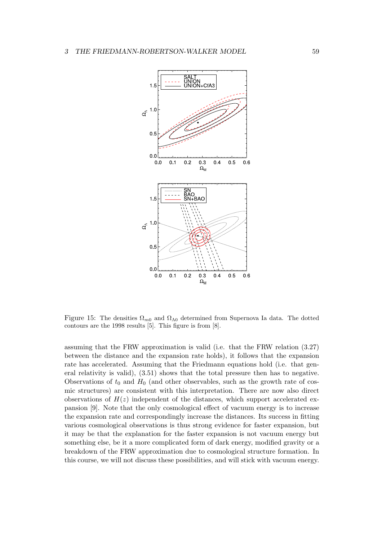

Figure 15: The densities  $\Omega_{m0}$  and  $\Omega_{\Lambda 0}$  determined from Supernova Ia data. The dotted contours are the 1998 results [5]. This figure is from [8].

assuming that the FRW approximation is valid (i.e. that the FRW relation (3.27) between the distance and the expansion rate holds), it follows that the expansion rate has accelerated. Assuming that the Friedmann equations hold (i.e. that general relativity is valid), (3.51) shows that the total pressure then has to negative. Observations of  $t_0$  and  $H_0$  (and other observables, such as the growth rate of cosmic structures) are consistent with this interpretation. There are now also direct observations of  $H(z)$  independent of the distances, which support accelerated expansion [9]. Note that the only cosmological effect of vacuum energy is to increase the expansion rate and correspondingly increase the distances. Its success in fitting various cosmological observations is thus strong evidence for faster expansion, but it may be that the explanation for the faster expansion is not vacuum energy but something else, be it a more complicated form of dark energy, modified gravity or a breakdown of the FRW approximation due to cosmological structure formation. In this course, we will not discuss these possibilities, and will stick with vacuum energy.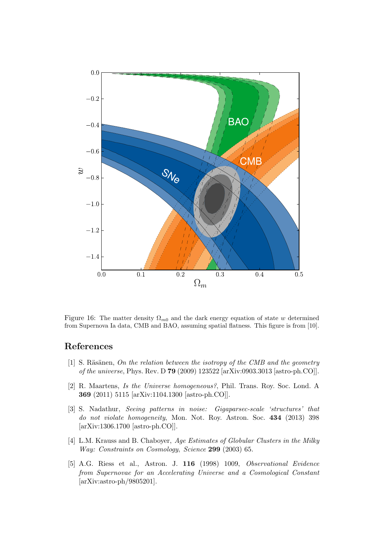

Figure 16: The matter density  $\Omega_{m0}$  and the dark energy equation of state w determined from Supernova Ia data, CMB and BAO, assuming spatial flatness. This figure is from [10].

# References

- [1] S. Räsänen, *On the relation between the isotropy of the CMB and the geometry of the universe*, Phys. Rev. D 79 (2009) 123522 [arXiv:0903.3013 [astro-ph.CO]].
- [2] R. Maartens, *Is the Universe homogeneous?*, Phil. Trans. Roy. Soc. Lond. A 369 (2011) 5115 [arXiv:1104.1300 [astro-ph.CO]].
- [3] S. Nadathur, *Seeing patterns in noise: Gigaparsec-scale 'structures' that do not violate homogeneity*, Mon. Not. Roy. Astron. Soc. 434 (2013) 398 [arXiv:1306.1700 [astro-ph.CO]].
- [4] L.M. Krauss and B. Chaboyer, *Age Estimates of Globular Clusters in the Milky Way: Constraints on Cosmology*, *Science* 299 (2003) 65.
- [5] A.G. Riess et al., Astron. J. 116 (1998) 1009, *Observational Evidence from Supernovae for an Accelerating Universe and a Cosmological Constant* [arXiv:astro-ph/9805201].